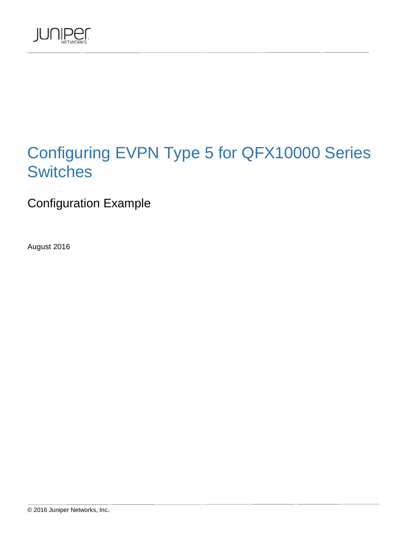

# Configuring EVPN Type 5 for QFX10000 Series **Switches**

Configuration Example

August 2016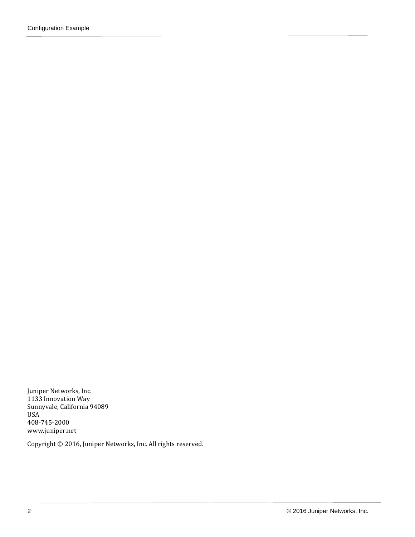Juniper Networks, Inc. 1133 Innovation Way Sunnyvale, California 94089 USA 408-745-2000 www.juniper.net

Copyright © 2016, Juniper Networks, Inc. All rights reserved.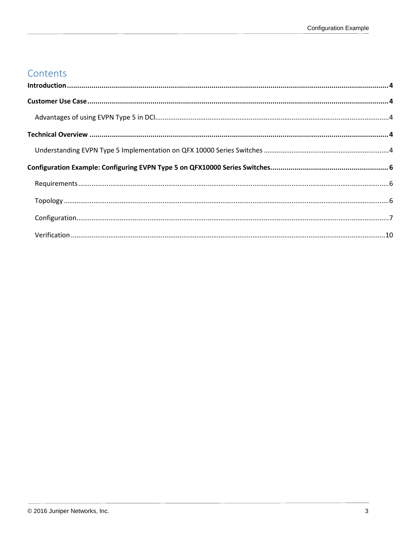### Contents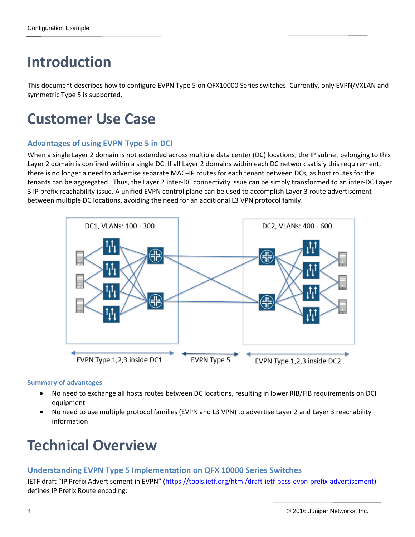# <span id="page-3-0"></span>**Introduction**

This document describes how to configure EVPN Type 5 on QFX10000 Series switches. Currently, only EVPN/VXLAN and symmetric Type 5 is supported.

## <span id="page-3-1"></span>**Customer Use Case**

### <span id="page-3-2"></span>**Advantages of using EVPN Type 5 in DCI**

When a single Layer 2 domain is not extended across multiple data center (DC) locations, the IP subnet belonging to this Layer 2 domain is confined within a single DC. If all Layer 2 domains within each DC network satisfy this requirement, there is no longer a need to advertise separate MAC+IP routes for each tenant between DCs, as host routes for the tenants can be aggregated. Thus, the Layer 2 inter-DC connectivity issue can be simply transformed to an inter-DC Layer 3 IP prefix reachability issue. A unified EVPN control plane can be used to accomplish Layer 3 route advertisement between multiple DC locations, avoiding the need for an additional L3 VPN protocol family.



#### **Summary of advantages**

- No need to exchange all hosts routes between DC locations, resulting in lower RIB/FIB requirements on DCI equipment
- No need to use multiple protocol families (EVPN and L3 VPN) to advertise Layer 2 and Layer 3 reachability information

# <span id="page-3-3"></span>**Technical Overview**

### <span id="page-3-4"></span>**Understanding EVPN Type 5 Implementation on QFX 10000 Series Switches**

IETF draft "IP Prefix Advertisement in EVPN" [\(https://tools.ietf.org/html/draft-ietf-bess-evpn-prefix-advertisement\)](https://tools.ietf.org/html/draft-ietf-bess-evpn-prefix-advertisement) defines IP Prefix Route encoding: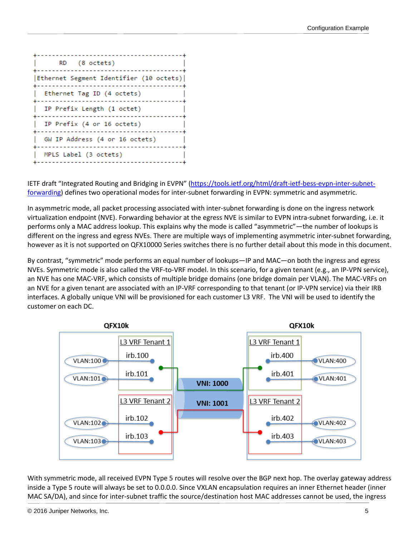

IETF draft "Integrated Routing and Bridging in EVPN" [\(https://tools.ietf.org/html/draft-ietf-bess-evpn-inter-subnet](https://tools.ietf.org/html/draft-ietf-bess-evpn-inter-subnet-forwarding)[forwarding\)](https://tools.ietf.org/html/draft-ietf-bess-evpn-inter-subnet-forwarding) defines two operational modes for inter-subnet forwarding in EVPN: symmetric and asymmetric.

In asymmetric mode, all packet processing associated with inter-subnet forwarding is done on the ingress network virtualization endpoint (NVE). Forwarding behavior at the egress NVE is similar to EVPN intra-subnet forwarding, i.e. it performs only a MAC address lookup. This explains why the mode is called "asymmetric"—the number of lookups is different on the ingress and egress NVEs. There are multiple ways of implementing asymmetric inter-subnet forwarding, however as it is not supported on QFX10000 Series switches there is no further detail about this mode in this document.

By contrast, "symmetric" mode performs an equal number of lookups—IP and MAC—on both the ingress and egress NVEs. Symmetric mode is also called the VRF-to-VRF model. In this scenario, for a given tenant (e.g., an IP-VPN service), an NVE has one MAC-VRF, which consists of multiple bridge domains (one bridge domain per VLAN). The MAC-VRFs on an NVE for a given tenant are associated with an IP-VRF corresponding to that tenant (or IP-VPN service) via their IRB interfaces. A globally unique VNI will be provisioned for each customer L3 VRF. The VNI will be used to identify the customer on each DC.



With symmetric mode, all received EVPN Type 5 routes will resolve over the BGP next hop. The overlay gateway address inside a Type 5 route will always be set to 0.0.0.0. Since VXLAN encapsulation requires an inner Ethernet header (inner MAC SA/DA), and since for inter-subnet traffic the source/destination host MAC addresses cannot be used, the ingress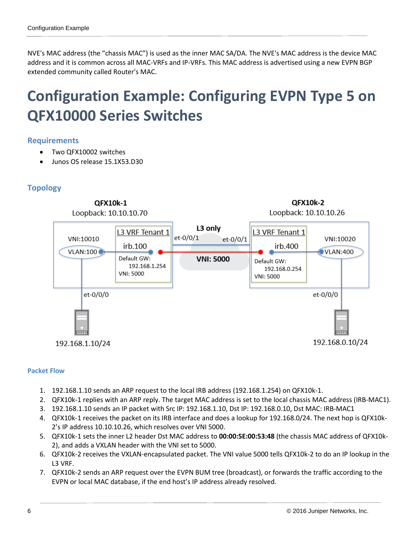NVE's MAC address (the "chassis MAC") is used as the inner MAC SA/DA. The NVE's MAC address is the device MAC address and it is common across all MAC-VRFs and IP-VRFs. This MAC address is advertised using a new EVPN BGP extended community called Router's MAC.

## <span id="page-5-0"></span>**Configuration Example: Configuring EVPN Type 5 on QFX10000 Series Switches**

#### <span id="page-5-1"></span>**Requirements**

- Two QFX10002 switches
- Junos OS release 15.1X53.D30

### <span id="page-5-2"></span>**Topology**



#### **Packet Flow**

- 1. 192.168.1.10 sends an ARP request to the local IRB address (192.168.1.254) on QFX10k-1.
- 2. QFX10k-1 replies with an ARP reply. The target MAC address is set to the local chassis MAC address (IRB-MAC1).
- 3. 192.168.1.10 sends an IP packet with Src IP: 192.168.1.10, Dst IP: 192.168.0.10, Dst MAC: IRB-MAC1
- 4. QFX10k-1 receives the packet on its IRB interface and does a lookup for 192.168.0/24. The next hop is QFX10k-2's IP address 10.10.10.26, which resolves over VNI 5000.
- 5. QFX10k-1 sets the inner L2 header Dst MAC address to **00:00:5E:00:53:48** (the chassis MAC address of QFX10k-2), and adds a VXLAN header with the VNI set to 5000.
- 6. QFX10k-2 receives the VXLAN-encapsulated packet. The VNI value 5000 tells QFX10k-2 to do an IP lookup in the L3 VRF.
- 7. QFX10k-2 sends an ARP request over the EVPN BUM tree (broadcast), or forwards the traffic according to the EVPN or local MAC database, if the end host's IP address already resolved.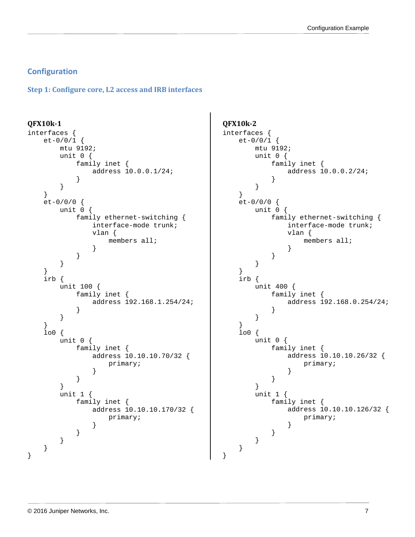#### <span id="page-6-0"></span>**Configuration**

**Step 1: Configure core, L2 access and IRB interfaces**

```
QFX10k-1
interfaces {
    et-0/0/1 {
       mtu 9192;
       unit 0 {
           family inet {
          address 10.0.0.1/24;
 }
 }
    }
    et-0/0/0 {
       unit 0 {
           family ethernet-switching {
               interface-mode trunk;
               vlan {
                  members all;
}<br>{}
 }
        }
    }
    irb {
       unit 100 {
           family inet {
           address 192.168.1.254/24;
 }
 }
    }
    lo0 {
       unit 0 {
           family inet {
               address 10.10.10.70/32 {
                  primary;
 }
 }
        }
       unit 1 {
           family inet {
               address 10.10.10.170/32 {
              primary;<br>}
}<br>{}
 }
       }
    }
}
```

```
QFX10k-2
interfaces {
    et-0/0/1 {
       mtu 9192;
       unit 0 {
           family inet {
           address 10.0.0.2/24;
 }
 }
    }
    et-0/0/0 {
       unit 0 {
           family ethernet-switching {
               interface-mode trunk;
               vlan {
                  members all;
}<br>{}
 }
 }
    }
    irb {
       unit 400 {
           family inet {
          address 192.168.0.254/24;
 }
 }
    }
    lo0 {
       unit 0 {
           family inet {
               address 10.10.10.26/32 {
              primary;<br>}
}<br>{}
 }
 }
       unit 1 {
           family inet {
               address 10.10.10.126/32 {
              primary;<br>}
}<br>{}
 }
       }
    }
```
}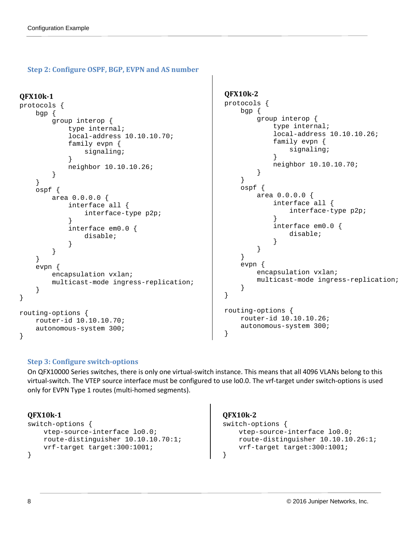#### **Step 2: Configure OSPF, BGP, EVPN and AS number**

```
QFX10k-1
protocols {
     bgp { 
         group interop {
             type internal;
             local-address 10.10.10.70;
             family evpn {
            signaling;<br>}
 }
        neighbor 10.10.10.26;<br>}
 }
     }
     ospf {
         area 0.0.0.0 {
             interface all {
            interface-type p2p;
 }
             interface em0.0 {
                 disable;
 }
 }
     }
     evpn {
         encapsulation vxlan;
         multicast-mode ingress-replication;
     }
}
routing-options {
     router-id 10.10.10.70;
     autonomous-system 300;
}
                                                     QFX10k-2
                                                     protocols {
                                                          bgp { 
                                                              group interop {
                                                                  type internal;
                                                                   local-address 10.10.10.26;
                                                                  family evpn {
                                                                       signaling;
                                                      }
                                                             neighbor 10.10.10.70;<br>}
                                                      }
                                                          }
                                                          ospf {
                                                              area 0.0.0.0 {
                                                                   interface all {
                                                                       interface-type p2p;
                                                      }
                                                                   interface em0.0 {
                                                                  disable;
                                                      }
                                                     \left\{\begin{array}{ccc} & & \\ & & \end{array}\right\} }
                                                          evpn {
                                                              encapsulation vxlan;
                                                              multicast-mode ingress-replication;
                                                          }
                                                     }
                                                     routing-options {
                                                          router-id 10.10.10.26;
                                                          autonomous-system 300;
                                                     }
```
#### **Step 3: Configure switch-options**

On QFX10000 Series switches, there is only one virtual-switch instance. This means that all 4096 VLANs belong to this virtual-switch. The VTEP source interface must be configured to use lo0.0. The vrf-target under switch-options is used only for EVPN Type 1 routes (multi-homed segments).

#### **QFX10k-1**

```
switch-options {
     vtep-source-interface lo0.0;
    route-distinguisher 10.10.10.70:1;
    vrf-target target:300:1001;
}
```
#### **QFX10k-2**

```
switch-options {
     vtep-source-interface lo0.0;
    route-distinguisher 10.10.10.26:1;
    vrf-target target:300:1001;
}
```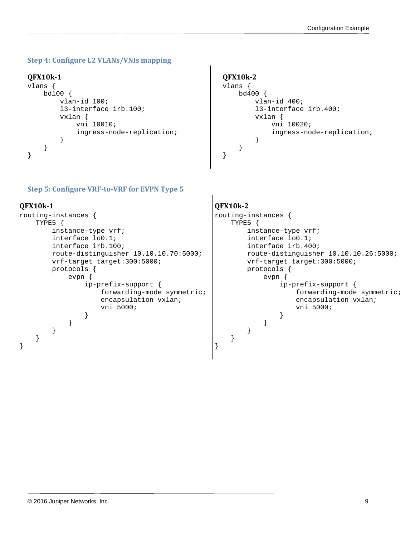#### **Step 4: Configure L2 VLANs/VNIs mapping**

#### **QFX10k-1**

```
vlans {
     bd100 {
         vlan-id 100;
         l3-interface irb.100;
         vxlan {
             vni 10010;
        ingress-node-replication;<br>}
 }
     }
}
```
### **QFX10k-2**

```
vlans {
     bd400 {
         vlan-id 400;
         l3-interface irb.400;
         vxlan {
             vni 10020;
        ingress-node-replication;<br>}
 }
     }
}
```
#### **Step 5: Configure VRF-to-VRF for EVPN Type 5**

#### **QFX10k-1**

```
routing-instances {
    TYPE5 {
        instance-type vrf;
        interface lo0.1;
        interface irb.100;
        route-distinguisher 10.10.10.70:5000;
        vrf-target target:300:5000;
        protocols {
            evpn {
                ip-prefix-support {
                    forwarding-mode symmetric;
                   encapsulation vxlan;
                   vni 5000;
 }
 }
 }
    }
}
```
#### **QFX10k-2**

}

```
routing-instances {
    TYPE5 {
         instance-type vrf;
        interface lo0.1;
        interface irb.400;
        route-distinguisher 10.10.10.26:5000;
        vrf-target target:300:5000;
        protocols {
            evpn {
                ip-prefix-support {
                    forwarding-mode symmetric;
                   encapsulation vxlan;
                   vni 5000;
 }
 }
        }
    }
```